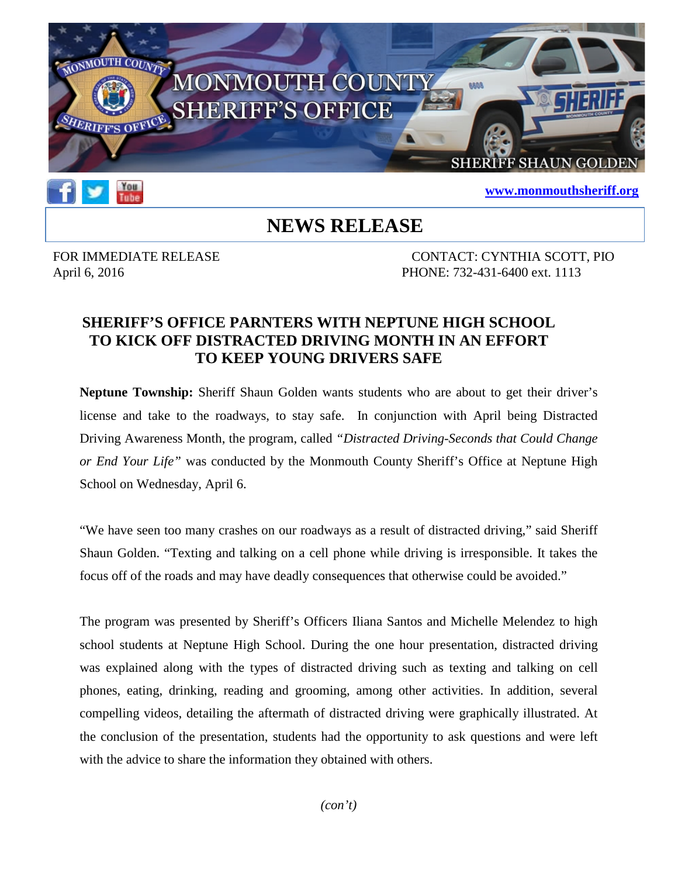



#### **[www.monmouthsheriff.org](http://www.monmouthsheriff.org/)**

# **NEWS RELEASE**

FOR IMMEDIATE RELEASE CONTACT: CYNTHIA SCOTT, PIO April 6, 2016 **PHONE: 732-431-6400 ext. 1113** 

#### **SHERIFF'S OFFICE PARNTERS WITH NEPTUNE HIGH SCHOOL TO KICK OFF DISTRACTED DRIVING MONTH IN AN EFFORT TO KEEP YOUNG DRIVERS SAFE**

**Neptune Township:** Sheriff Shaun Golden wants students who are about to get their driver's license and take to the roadways, to stay safe. In conjunction with April being Distracted Driving Awareness Month, the program, called *"Distracted Driving-Seconds that Could Change or End Your Life"* was conducted by the Monmouth County Sheriff's Office at Neptune High School on Wednesday, April 6.

"We have seen too many crashes on our roadways as a result of distracted driving," said Sheriff Shaun Golden. "Texting and talking on a cell phone while driving is irresponsible. It takes the focus off of the roads and may have deadly consequences that otherwise could be avoided."

The program was presented by Sheriff's Officers Iliana Santos and Michelle Melendez to high school students at Neptune High School. During the one hour presentation, distracted driving was explained along with the types of distracted driving such as texting and talking on cell phones, eating, drinking, reading and grooming, among other activities. In addition, several compelling videos, detailing the aftermath of distracted driving were graphically illustrated. At the conclusion of the presentation, students had the opportunity to ask questions and were left with the advice to share the information they obtained with others.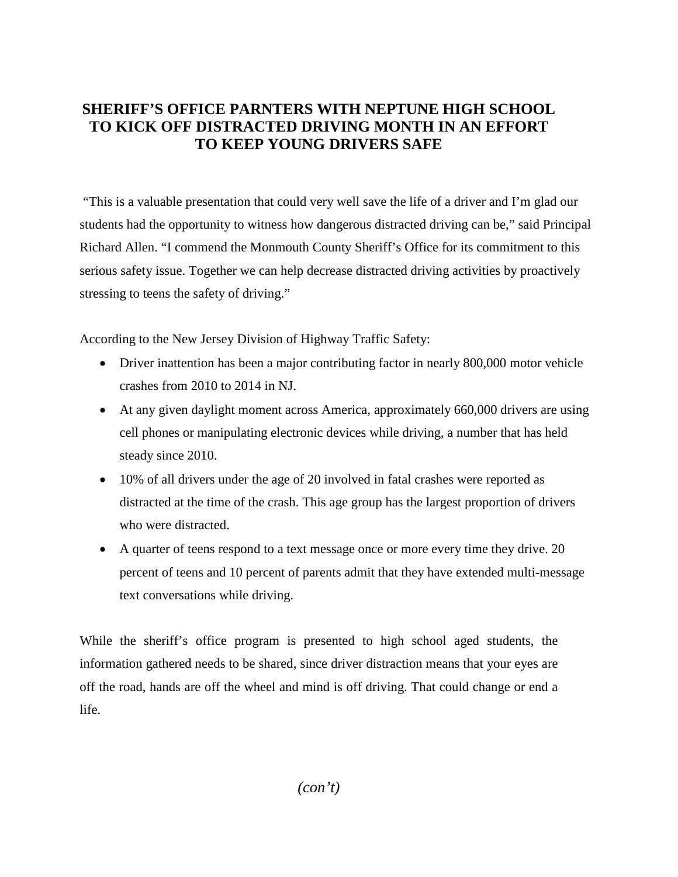## **SHERIFF'S OFFICE PARNTERS WITH NEPTUNE HIGH SCHOOL TO KICK OFF DISTRACTED DRIVING MONTH IN AN EFFORT TO KEEP YOUNG DRIVERS SAFE**

"This is a valuable presentation that could very well save the life of a driver and I'm glad our students had the opportunity to witness how dangerous distracted driving can be," said Principal Richard Allen. "I commend the Monmouth County Sheriff's Office for its commitment to this serious safety issue. Together we can help decrease distracted driving activities by proactively stressing to teens the safety of driving."

According to the New Jersey Division of Highway Traffic Safety:

- Driver inattention has been a major contributing factor in nearly 800,000 motor vehicle crashes from 2010 to 2014 in NJ.
- At any given daylight moment across America, approximately 660,000 drivers are using cell phones or manipulating electronic devices while driving, a number that has held steady since 2010.
- 10% of all drivers under the age of 20 involved in fatal crashes were reported as distracted at the time of the crash. This age group has the largest proportion of drivers who were distracted.
- A quarter of teens respond to a text message once or more every time they drive. 20 percent of teens and 10 percent of parents admit that they have extended multi-message text conversations while driving.

While the sheriff's office program is presented to high school aged students, the information gathered needs to be shared, since driver distraction means that your eyes are off the road, hands are off the wheel and mind is off driving. That could change or end a life.